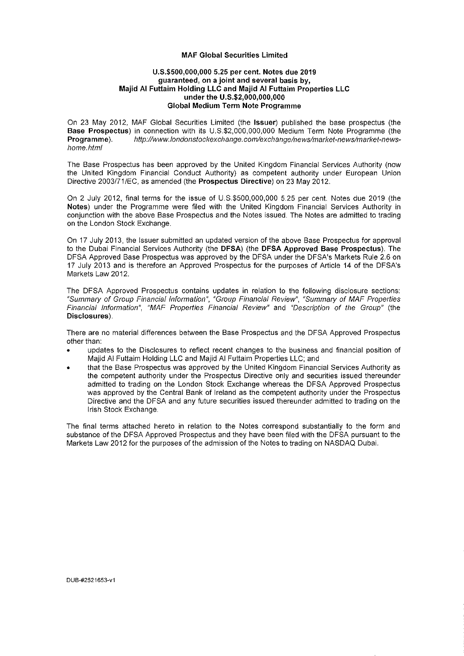### **MAF Global Securities Limited**

## **U.S.\$500,000,000 5.25 per cent. Notes due 2019 guaranteed, on a joint and several basis by, Majid Al Futtaim Holding LLC and Majid Al Futtaim Properties LLC under the U.S.\$2,000,000,000 Global Medium Term Note Programme**

On 23 May 2012, MAF Global Securities Limited (the **Issuer)** published the base prospectus (the **Base Prospectus)** in connection with its U.S.\$2,000,000,000 Medium Term Note Programme (the **Programme).** <http://www.iondonstockexchange.com/exchange/news/market-news/market-news>home.html

The Base Prospectus has been approved by the United Kingdom Financial Services Authority (now the United Kingdom Financial Conduct Authority) as competent authority under European Union Directive 2003/71/EC, as amended (the **Prospectus Directive)** on 23 May 2012.

On 2 July 2012, final terms for the issue of U.S.\$500,000,000 5.25 per cent. Notes due 2019 (the **Notes)** under the Programme were filed with the United Kingdom Financial Services Authority in conjunction with the above Base Prospectus and the Notes issued. The Notes are admitted to trading on the London Stock Exchange.

On 17 July 2013, the Issuer submitted an updated version of the above Base Prospectus for approval to the Dubai Financial Services Authority (the **DFSA)** (the **DFSA Approved Base Prospectus),** The DFSA Approved Base Prospectus was approved by the DFSA under the DFSA's Markets Rule 2.6 on 17 July 2013 and is therefore an Approved Prospectus for the purposes of Article 14 of the DFSA's Markets Law 2012.

The DFSA Approved Prospectus contains updates in relation to the following disclosure sections: "Summary of Group Financial Information", "Group Financial Review", "Summary of MAF Properties Financial information", "MAF Properties Financial Review" and "Description of the Group" (the **Disclosures).** 

There are no material differences between the Base Prospectus and the DFSA Approved Prospectus other than:

- updates to the Disclosures to reflect recent changes to the business and financial position of Majid Al Futtaim Holding LLC and Majid Al Futtaim Properties LLC; and
- that the Base Prospectus was approved by the United Kingdom Financial Services Authority as the competent authority under the Prospectus Directive only and securities issued thereunder admitted to trading on the London Stock Exchange whereas the DFSA Approved Prospectus was approved by the Central Bank of Ireland as the competent authority under the Prospectus Directive and the DFSA and any future securities issued thereunder admitted to trading on the Irish Stock Exchange.

The final terms attached hereto in relation to the Notes correspond substantially to the form and substance of the DFSA Approved Prospectus and they have been filed with the DFSA pursuant to the Markets Law 2012 for the purposes of the admission of the Notes to trading on NASDAQ Dubai.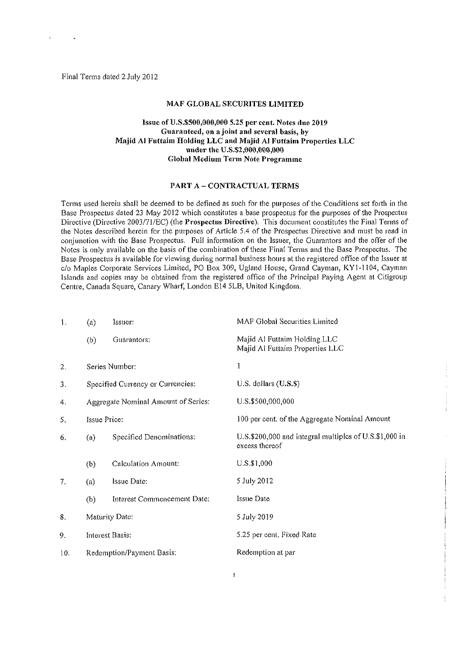Final Terms dated 2 July 2012

### **MAF GLOBAL SECURITES LIMITED**

# **Issue ofU.S.\$500,000,000 5.25 per cent. Notes due 2019 Guaranteed, on a joint and several basis, by Majid Al Futtaim Holding LLC and Majid Al Futtaim Properties LLC under the U.S.\$2,000,000,000 Global Medium Term Note Programme**

### **PART A - CONTRACTUAL TERMS**

Terms used herein shall be deemed to be defined as such for the purposes of the Conditions set forth in the Base Prospectus dated 23 May 2012 which constitutes a base prospectus for the purposes of the Prospectus Directive (Directive 2003/71/EC) (the **Prospectus Directive).** This document constitutes the Final Terms of the Notes described herein for the purposes of Article 5,4 of the Prospectus Directive and must be read in conjunction with the Base Prospectus. Full information on the Issuer, the Guarantors and the offer of the Notes is only available on the basis of the combination of these Final Terms and the Base Prospectus. The Base Prospectus is available for viewing during normal business hours at the registered office of the Issuer at c/o Maples Corporate Services Limited, PO Box 309, Ugland House, Grand Cayman, KY1-1104, Cayman Islands and copies may be obtained from the registered office of the Principal Paying Agent at Citigroup Centre, Canada Square, Canary Wharf, London E14 5LB, United Kingdom.

| 1.  | $\left( a\right)$ | Issuer:                             | MAF Global Securities Limited                                                |  |
|-----|-------------------|-------------------------------------|------------------------------------------------------------------------------|--|
|     | (b)               | Guarantors;                         | Majid Al Futtaim Holding LLC<br>Majid Al Futtaim Properties LLC              |  |
| 2.  |                   | Series Number:                      | ľ                                                                            |  |
| 3.  |                   | Specified Currency or Currencies:   | U.S. dollars (U.S.S)                                                         |  |
| 4.  |                   | Aggregate Nominal Amount of Series: | U.S.\$500,000,000                                                            |  |
| 5.  |                   | <b>Issue Price:</b>                 | 100 per cent, of the Aggregate Nominal Amount                                |  |
| 6.  | (a)               | Specified Denominations:            | $U.S.S.200,000$ and integral multiples of $U.S.S.1,000$ in<br>excess thereof |  |
|     | (b)               | Calculation Amount:                 | $U.S.$ \$1,000                                                               |  |
| 7.  | (a)               | Issue Date:                         | 5 July 2012                                                                  |  |
|     | (b)               | Interest Commencement Date:         | Issue Date                                                                   |  |
| 8.  | Maturity Date:    |                                     | 5 July 2019                                                                  |  |
| 9.  | Interest Basis:   |                                     | 5.25 per cent. Fixed Rate                                                    |  |
| 10. |                   | Redemption/Payment Basis:           | Redemption at par                                                            |  |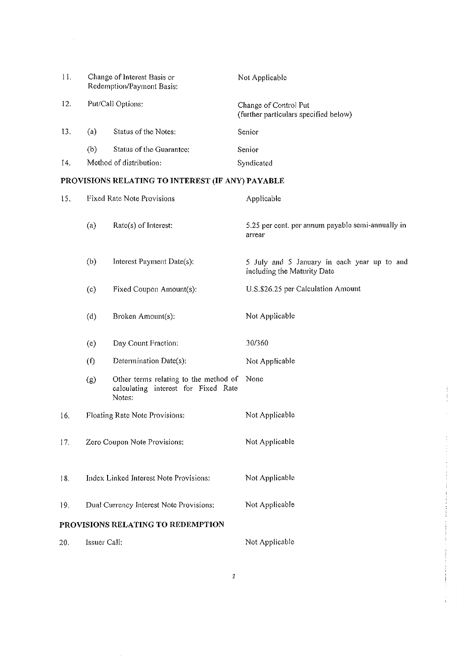| 11. | Change of Interest Basis or<br>Redemption/Payment Basis: |                          | Not Applicable                                                 |  |
|-----|----------------------------------------------------------|--------------------------|----------------------------------------------------------------|--|
| 12. |                                                          | Put/Call Options:        | Change of Control Put<br>(further particulars specified below) |  |
| 13. | (a)                                                      | Status of the Notes:     | Senior                                                         |  |
|     | (b)                                                      | Status of the Guarantee: | Senior                                                         |  |
| 14. |                                                          | Method of distribution:  | Syndicated                                                     |  |

# **PROVISIONS RELATING TO INTEREST (IF ANY) PAYABLE**

 $\mathcal{A}$ 

| 15. | Fixed Rate Note Provisions              |                                                                                        | Applicable                                                                 |  |
|-----|-----------------------------------------|----------------------------------------------------------------------------------------|----------------------------------------------------------------------------|--|
|     | (a)                                     | Rate(s) of Interest:                                                                   | 5.25 per cent, per annum payable semi-annually in<br>arrear                |  |
|     | (b)                                     | Interest Payment Date(s):                                                              | 5 July and 5 January in each year up to and<br>including the Maturity Date |  |
|     | (c)                                     | Fixed Coupon Amount(s):                                                                | U.S.\$26.25 per Calculation Amount                                         |  |
|     | (d)                                     | Broken Amount(s):                                                                      | Not Applicable                                                             |  |
|     | (e)                                     | Day Count Fraction:                                                                    | 30/360                                                                     |  |
|     | (f)<br>Determination Date(s):           |                                                                                        | Not Applicable                                                             |  |
|     | (g)                                     | Other terms relating to the method of<br>calculating interest for Fixed Rate<br>Notes: | None                                                                       |  |
| 16. |                                         | Floating Rate Note Provisions:                                                         | Not Applicable                                                             |  |
| 17. | Zero Coupon Note Provisions:            |                                                                                        | Not Applicable                                                             |  |
| 18. | Index Linked Interest Note Provisions:  |                                                                                        | Not Applicable                                                             |  |
| 19. | Dual Currency Interest Note Provisions: |                                                                                        | Not Applicable                                                             |  |
|     |                                         | PROVISIONS RELATING TO REDEMPTION                                                      |                                                                            |  |
| 20. | Issuer Call:                            |                                                                                        | Not Applicable                                                             |  |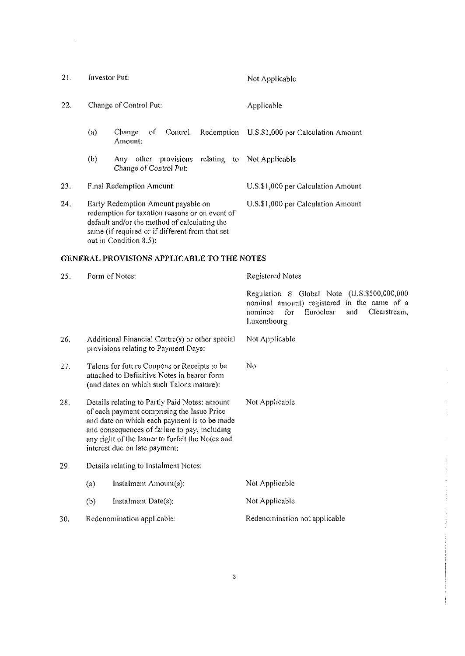| 21. | Investor Put: |                                                                                                                                                                                                                   | Not Applicable                     |  |
|-----|---------------|-------------------------------------------------------------------------------------------------------------------------------------------------------------------------------------------------------------------|------------------------------------|--|
| 22. |               | Change of Control Put:                                                                                                                                                                                            | Applicable                         |  |
|     | (a)           | οf<br>Change<br>Control<br>Redemption<br>Amount:                                                                                                                                                                  | U.S.\$1,000 per Calculation Amount |  |
|     | (b)           | provisions<br>other<br>Any<br>Change of Control Put:                                                                                                                                                              | relating to Not Applicable         |  |
| 23. |               | Final Redemption Amount:                                                                                                                                                                                          | U.S.\$1,000 per Calculation Amount |  |
| 24. |               | Early Redemption Amount payable on<br>redemption for taxation reasons or on event of<br>default and/or the method of calculating the<br>same (if required or if different from that set<br>out in Condition 8.5). | U.S.\$1,000 per Calculation Amount |  |

# **GENERAL PROVISIONS APPLICABLE TO THE NOTES**

 $\ddot{\phantom{a}}$ 

| 25. |                                                                                                                                                                                                                                                                                   | Form of Notes:                                                                          | Registered Notes                                                                                                                                               |  |
|-----|-----------------------------------------------------------------------------------------------------------------------------------------------------------------------------------------------------------------------------------------------------------------------------------|-----------------------------------------------------------------------------------------|----------------------------------------------------------------------------------------------------------------------------------------------------------------|--|
|     |                                                                                                                                                                                                                                                                                   |                                                                                         | Regulation S Global Note (U.S.\$500,000,000<br>nominal amount) registered in the name of a<br>Clearstream,<br>nominee<br>for<br>Euroclear<br>and<br>Luxembourg |  |
| 26. |                                                                                                                                                                                                                                                                                   | Additional Financial Centre(s) or other special<br>provisions relating to Payment Days: | Not Applicable                                                                                                                                                 |  |
| 27. | Talons for future Coupons or Receipts to be<br>attached to Definitive Notes in bearer form<br>(and dates on which such Talons mature):                                                                                                                                            |                                                                                         | No                                                                                                                                                             |  |
| 28. | Details relating to Partly Paid Notes: amount<br>of each payment comprising the Issue Price<br>and date on which each payment is to be made<br>and consequences of failure to pay, including<br>any right of the Issuer to forfeit the Notes and<br>interest due on late payment: |                                                                                         | Not Applicable                                                                                                                                                 |  |
| 29. |                                                                                                                                                                                                                                                                                   | Details relating to Instalment Notes:                                                   |                                                                                                                                                                |  |
|     | (a)                                                                                                                                                                                                                                                                               | Instalment Amount(s):                                                                   | Not Applicable                                                                                                                                                 |  |
|     | (b)                                                                                                                                                                                                                                                                               | Instalment Date(s):                                                                     | Not Applicable                                                                                                                                                 |  |
| 30. |                                                                                                                                                                                                                                                                                   | Redenomination applicable:                                                              | Redenomination not applicable                                                                                                                                  |  |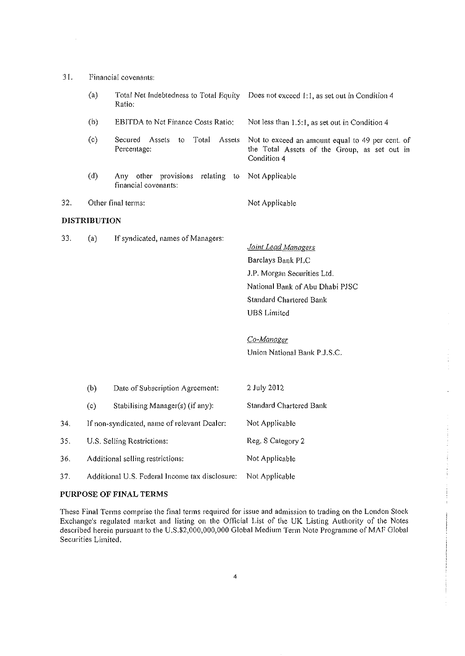| 31. |                      |
|-----|----------------------|
|     | Financial covenants: |
|     |                      |

35.

36.

37.

|     | (a)                 | Total Net Indebtedness to Total Equity<br>Ratio:                       | Does not exceed 1:1, as set out in Condition 4                                                                                                                                                                   |  |
|-----|---------------------|------------------------------------------------------------------------|------------------------------------------------------------------------------------------------------------------------------------------------------------------------------------------------------------------|--|
|     | (b)                 | <b>EBITDA</b> to Net Finance Costs Ratio:                              | Not less than 1.5:1, as set out in Condition 4                                                                                                                                                                   |  |
|     | (c)                 | Total<br>Secured<br>Assets<br>Assets<br>to<br>Percentage:              | Not to exceed an amount equal to 49 per cent. of<br>the Total Assets of the Group, as set out in<br>Condition 4                                                                                                  |  |
|     | (d)                 | provisions<br>relating<br>other<br>Anv -<br>to<br>financial covenants: | Not Applicable                                                                                                                                                                                                   |  |
| 32. |                     | Other final terms:                                                     | Not Applicable                                                                                                                                                                                                   |  |
|     | <b>DISTRIBUTION</b> |                                                                        |                                                                                                                                                                                                                  |  |
| 33. | (a)                 | If syndicated, names of Managers:                                      | Joint Lead Managers<br>Barclays Bank PLC<br>J.P. Morgan Securities Ltd.<br>National Bank of Abu Dhabi PJSC<br><b>Standard Chartered Bank</b><br><b>UBS</b> Limited<br>Co-Manager<br>Union National Bank P.J.S.C. |  |
|     | (b)                 | Date of Subscription Agreement:                                        | 2 July 2012                                                                                                                                                                                                      |  |
|     | (c)                 | Stabilising Manager(s) (if any):                                       | Standard Chartered Bank                                                                                                                                                                                          |  |
| 34. |                     | If non-syndicated, name of relevant Dealer;                            | Not Applicable                                                                                                                                                                                                   |  |
| 35. |                     | U.S. Selling Restrictions:                                             | Reg. S Category 2                                                                                                                                                                                                |  |
| 36. |                     | Additional selling restrictions:                                       | Not Applicable                                                                                                                                                                                                   |  |
| 37. |                     | Additional U.S. Federal Income tax disclosure:                         | Not Applicable                                                                                                                                                                                                   |  |

# **PURPOSE OF FINAL TERMS**

These Final Terms comprise the final terms required for issue and admission to trading on the London Stock Exchange's regulated market and listing on the Official List of the UK Listing Authority of the Notes described herein pursuant to the U.S.\$2,000,000,000 Global Medium Term Note Programme of MAF Global Securities Limited.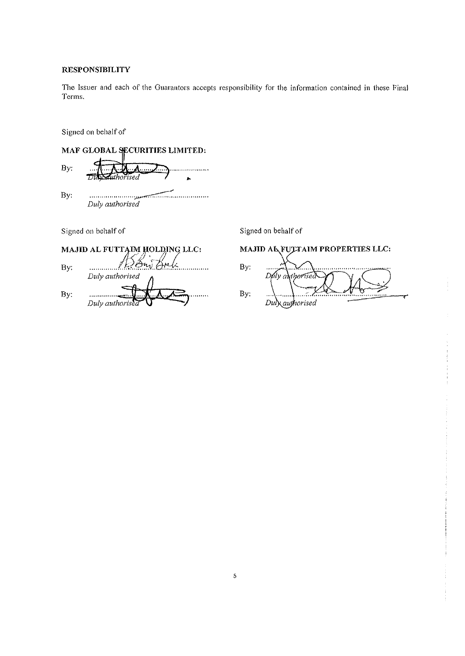# **RESPONSIBILITY**

The Issuer and each of the Guarantors accepts responsibility for the information contained in these Final Terms.

Signed on behalf of

MAF GLOBAL SECURITIES LIMITED: By: 'isea By: *Duly authorised*  Signed on behalf of Signed on behalf of MAJID AL FUTTAIM HOLDING LLC:

By: . . . . . . . . . Duly authorised By:  $\ldots$ Duly autho.

# MAJID AL FULTAIM PROPERTIES LLC:

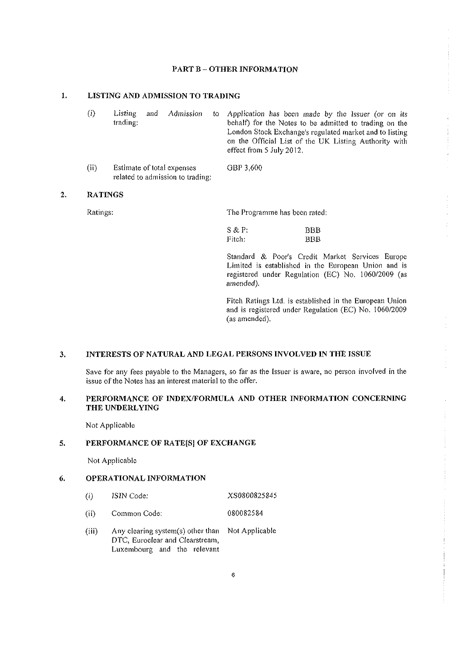# **PART B - OTHER INFORMATION**

#### $\mathbf{1}$ . **LISTING AND ADMISSION TO TRADING**

related to admission to trading:

| $\langle \cdot \rangle$ | Listing<br>and<br>trading; | Admission | to Application has been made by the Issuer (or on its<br>behalf) for the Notes to be admitted to trading on the<br>London Stock Exchange's regulated market and to listing<br>on the Official List of the UK Listing Authority with<br>effect from 5 July 2012. |
|-------------------------|----------------------------|-----------|-----------------------------------------------------------------------------------------------------------------------------------------------------------------------------------------------------------------------------------------------------------------|
| (ii)                    | Estimate of total expenses |           | GBP 3,600                                                                                                                                                                                                                                                       |

#### **RATINGS**   $2.$

Ratings: The Programme has been rated:

| S & P  | BBB |
|--------|-----|
| Fitch: | BBB |

Standard *Sc* Poor's Credit Market Services Europe Limited is established in the European Union and is registered under Regulation (EC) No. 1060/2009 (as *amended).* 

Fitch Ratings Ltd. is established in the European Union and is registered under Regulation (EC) No. 1060/2009 (as amended).

### **INTERESTS OF NATURAL AND LEGAL PERSONS INVOLVED IN THE ISSUE**  3.

Save for any fees payable to the Managers, so far as the Issuer is aware, no person involved in the issue of the Notes has an interest material to the offer.

### $\ddot{4}$ . PERFORMANCE OF INDEX/FORMULA AND OTHER INFORMATION CONCERNING THE UNDERLYING

Not Applicable

#### 5. **PERFORMANCE OF RATE[S] OF EXCHANGE**

Not Applicable

### 6. **OPERATIONAL INFORMATION**

- (i) **ISIN** Code: XS0800825845
- (ii) Common Code; 080082584
- (iii) Any clearing system(s) other than Not Applicable DTC, Euroclear and Ciearstream, Luxembourg and the relevant